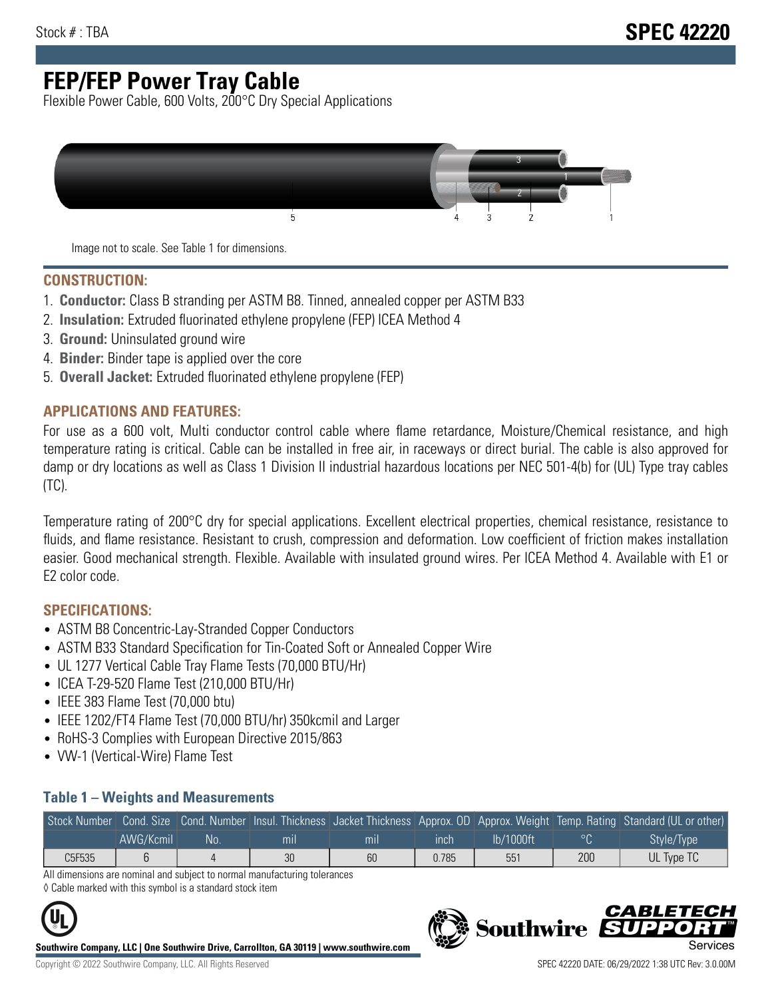# **FEP/FEP Power Tray Cable**

Flexible Power Cable, 600 Volts, 200°C Dry Special Applications



Image not to scale. See Table 1 for dimensions.

#### **CONSTRUCTION:**

- 1. **Conductor:** Class B stranding per ASTM B8. Tinned, annealed copper per ASTM B33
- 2. **Insulation:** Extruded fluorinated ethylene propylene (FEP) ICEA Method 4
- 3. **Ground:** Uninsulated ground wire
- 4. **Binder:** Binder tape is applied over the core
- 5. **Overall Jacket:** Extruded fluorinated ethylene propylene (FEP)

#### **APPLICATIONS AND FEATURES:**

For use as a 600 volt, Multi conductor control cable where flame retardance, Moisture/Chemical resistance, and high temperature rating is critical. Cable can be installed in free air, in raceways or direct burial. The cable is also approved for damp or dry locations as well as Class 1 Division II industrial hazardous locations per NEC 501-4(b) for (UL) Type tray cables (TC).

Temperature rating of 200°C dry for special applications. Excellent electrical properties, chemical resistance, resistance to fluids, and flame resistance. Resistant to crush, compression and deformation. Low coefficient of friction makes installation easier. Good mechanical strength. Flexible. Available with insulated ground wires. Per ICEA Method 4. Available with E1 or E2 color code.

### **SPECIFICATIONS:**

- ASTM B8 Concentric-Lay-Stranded Copper Conductors
- ASTM B33 Standard Specification for Tin-Coated Soft or Annealed Copper Wire
- UL 1277 Vertical Cable Tray Flame Tests (70,000 BTU/Hr)
- ICEA T-29-520 Flame Test (210,000 BTU/Hr)
- IEEE 383 Flame Test (70,000 btu)
- IEEE 1202/FT4 Flame Test (70,000 BTU/hr) 350kcmil and Larger
- RoHS-3 Complies with European Directive 2015/863
- VW-1 (Vertical-Wire) Flame Test

#### **Table 1 – Weights and Measurements**

| Stock Number |           |     |                |                |       |           |     | Cond. Size Cond. Number Insul. Thickness Jacket Thickness Approx. OD Approx. Weight Temp. Rating Standard (UL or other) |
|--------------|-----------|-----|----------------|----------------|-------|-----------|-----|-------------------------------------------------------------------------------------------------------------------------|
|              | AWG/Kcmil | No. | m <sub>l</sub> | m <sub>l</sub> | ınch  | lb/1000ft |     | Style/Type                                                                                                              |
| C5F535       |           |     | 30             | 60             | 0.785 | 551       | 200 | UL Type TC                                                                                                              |

All dimensions are nominal and subject to normal manufacturing tolerances ◊ Cable marked with this symbol is a standard stock item



**Southwire Company, LLC | One Southwire Drive, Carrollton, GA 30119 | www.southwire.com**